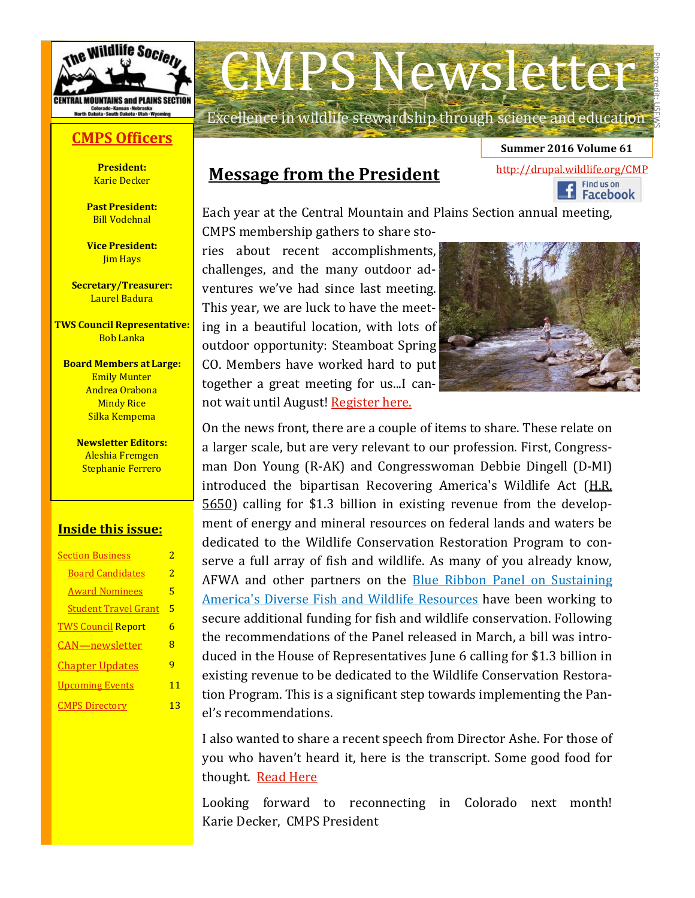

### **CMPS [Officers](http://wildlife.org/cmp/officers/)**

**President:** Karie Decker

**Past President:** Bill Vodehnal

**Vice President: Jim Hays** 

**Secretary/Treasurer:** Laurel Badura

**TWS Council Representative:** Bob Lanka

**Board Members at Large:** Emily Munter Andrea Orabona **Mindy Rice** Silka Kempema

> **Newsletter Editors:**  Aleshia Fremgen Stephanie Ferrero

#### **Inside this issue:**

| <b>Section Business</b>     | 2  |
|-----------------------------|----|
| <b>Board Candidates</b>     | 2  |
| <b>Award Nominees</b>       | 5  |
| <b>Student Travel Grant</b> | 5  |
| <b>TWS Council Report</b>   | 6  |
| CAN—newsletter              | 8  |
| <b>Chapter Updates</b>      | q  |
| <b>Upcoming Events</b>      | 11 |
| <b>CMPS Directory</b>       | 13 |
|                             |    |

# CMPS Newsletter

Excellence in wildlife stewardship through science and education

### **Message from the President**

Each year at the Central Mountain and Plains Section annual meeting,

CMPS membership gathers to share stories about recent accomplishments, challenges, and the many outdoor adventures we've had since last meeting. This year, we are luck to have the meeting in a beautiful location, with lots of outdoor opportunity: Steamboat Spring CO. Members have worked hard to put together a great meeting for us...I cannot wait until August! [Register here.](http://wildlife.org/colorado/CMPS-meeting/#registration)



<http://drupal.wildlife.org/CMP><br>
Find us on<br>
Find us on<br>
Facebook

**Summer 2016 Volume 61** 

Photo credit: USFWS

On the news front, there are a couple of items to share. These relate on a larger scale, but are very relevant to our profession. First, Congressman Don Young (R-AK) and Congresswoman Debbie Dingell (D-MI) introduced the bipartisan Recovering America's Wildlife Act ([H.R.](https://www.congress.gov/bill/114th-congress/house-bill/5650/cosponsors?pageSort=lastToFirst)  [5650\)](https://www.congress.gov/bill/114th-congress/house-bill/5650/cosponsors?pageSort=lastToFirst) calling for \$1.3 billion in existing revenue from the development of energy and mineral resources on federal lands and waters be dedicated to the Wildlife Conservation Restoration Program to conserve a full array of fish and wildlife. As many of you already know, AFWA and other partners on the **Blue Ribbon Panel on Sustaining** [America's Diverse Fish and Wildlife Resources](http://fishwildlife.org/?section=blueribbonpanel) have been working to secure additional funding for fish and wildlife conservation. Following the recommendations of the Panel released in March, a bill was introduced in the House of Representatives June 6 calling for \$1.3 billion in existing revenue to be dedicated to the Wildlife Conservation Restoration Program. This is a significant step towards implementing the Panel's recommendations.

I also wanted to share a recent speech from Director Ashe. For those of you who haven't heard it, here is the transcript. Some good food for thought. [Read Here](http://blog.trcp.org/2016/06/27/dan-ashes-manifesto-its-a-make-or-break-moment-in-conservation-history/)

Looking forward to reconnecting in Colorado next month! Karie Decker, CMPS President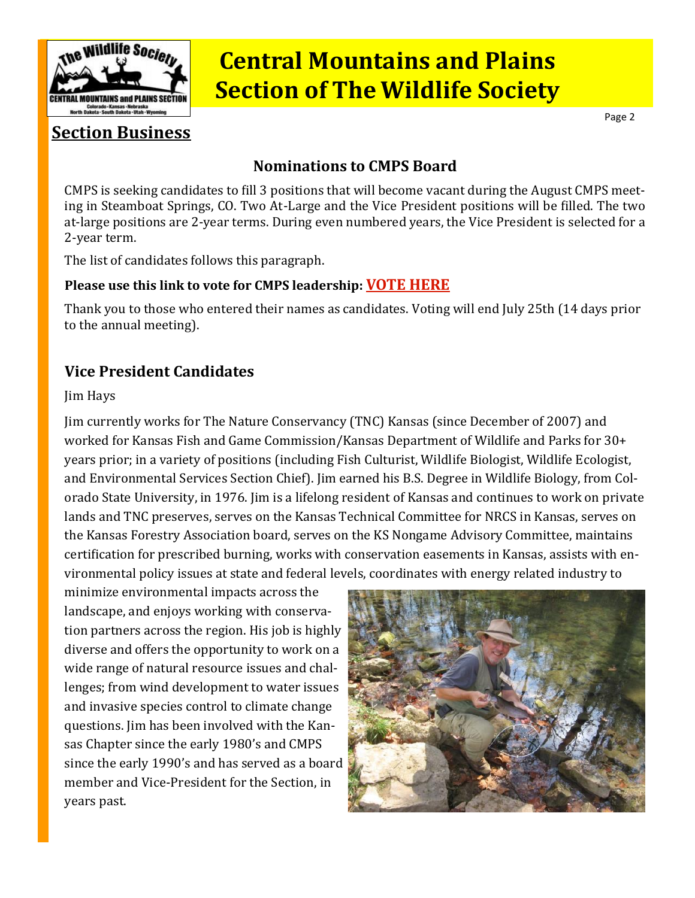<span id="page-1-0"></span>

Page 2

### **Section Business**

### **Nominations to CMPS Board**

CMPS is seeking candidates to fill 3 positions that will become vacant during the August CMPS meeting in Steamboat Springs, CO. Two At-Large and the Vice President positions will be filled. The two at-large positions are 2-year terms. During even numbered years, the Vice President is selected for a 2-year term.

The list of candidates follows this paragraph.

#### **Please use this link to vote for CMPS leadership: [VOTE HERE](https://www.surveymonkey.com/r/RC35M5Z)**

Thank you to those who entered their names as candidates. Voting will end July 25th (14 days prior to the annual meeting).

### **Vice President Candidates**

#### Jim Hays

Jim currently works for The Nature Conservancy (TNC) Kansas (since December of 2007) and worked for Kansas Fish and Game Commission/Kansas Department of Wildlife and Parks for 30+ years prior; in a variety of positions (including Fish Culturist, Wildlife Biologist, Wildlife Ecologist, and Environmental Services Section Chief). Jim earned his B.S. Degree in Wildlife Biology, from Colorado State University, in 1976. Jim is a lifelong resident of Kansas and continues to work on private lands and TNC preserves, serves on the Kansas Technical Committee for NRCS in Kansas, serves on the Kansas Forestry Association board, serves on the KS Nongame Advisory Committee, maintains certification for prescribed burning, works with conservation easements in Kansas, assists with environmental policy issues at state and federal levels, coordinates with energy related industry to

minimize environmental impacts across the landscape, and enjoys working with conservation partners across the region. His job is highly diverse and offers the opportunity to work on a wide range of natural resource issues and challenges; from wind development to water issues and invasive species control to climate change questions. Jim has been involved with the Kansas Chapter since the early 1980's and CMPS since the early 1990's and has served as a board member and Vice-President for the Section, in years past.

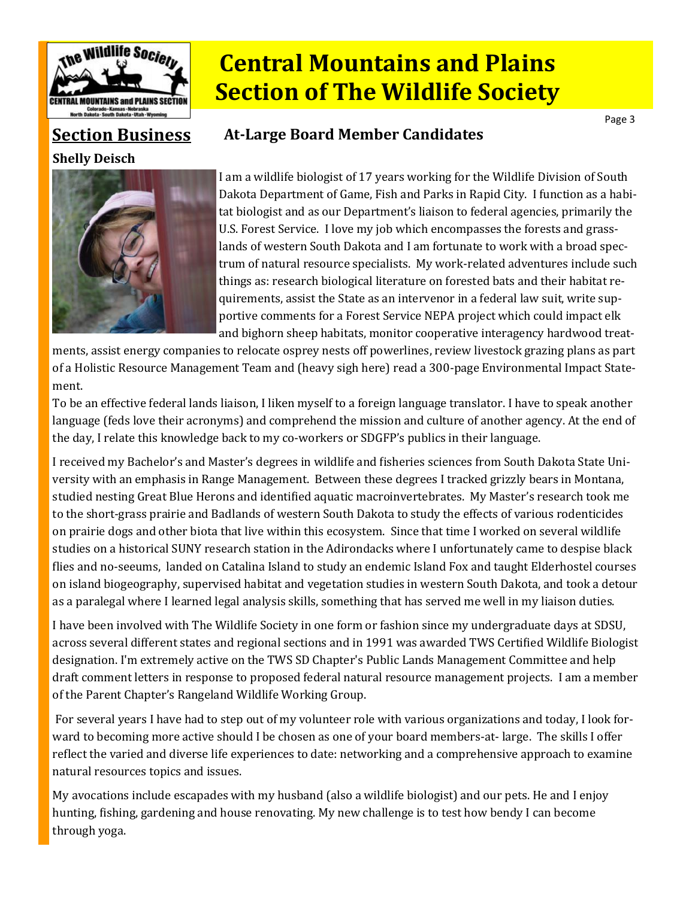

### **At-Large Board Member Candidates**

Page 3

### **Section Business**

#### **Shelly Deisch**



I am a wildlife biologist of 17 years working for the Wildlife Division of South Dakota Department of Game, Fish and Parks in Rapid City. I function as a habitat biologist and as our Department's liaison to federal agencies, primarily the U.S. Forest Service. I love my job which encompasses the forests and grasslands of western South Dakota and I am fortunate to work with a broad spectrum of natural resource specialists. My work-related adventures include such things as: research biological literature on forested bats and their habitat requirements, assist the State as an intervenor in a federal law suit, write supportive comments for a Forest Service NEPA project which could impact elk and bighorn sheep habitats, monitor cooperative interagency hardwood treat-

ments, assist energy companies to relocate osprey nests off powerlines, review livestock grazing plans as part of a Holistic Resource Management Team and (heavy sigh here) read a 300-page Environmental Impact Statement.

To be an effective federal lands liaison, I liken myself to a foreign language translator. I have to speak another language (feds love their acronyms) and comprehend the mission and culture of another agency. At the end of the day, I relate this knowledge back to my co-workers or SDGFP's publics in their language.

I received my Bachelor's and Master's degrees in wildlife and fisheries sciences from South Dakota State University with an emphasis in Range Management. Between these degrees I tracked grizzly bears in Montana, studied nesting Great Blue Herons and identified aquatic macroinvertebrates. My Master's research took me to the short-grass prairie and Badlands of western South Dakota to study the effects of various rodenticides on prairie dogs and other biota that live within this ecosystem. Since that time I worked on several wildlife studies on a historical SUNY research station in the Adirondacks where I unfortunately came to despise black flies and no-seeums, landed on Catalina Island to study an endemic Island Fox and taught Elderhostel courses on island biogeography, supervised habitat and vegetation studies in western South Dakota, and took a detour as a paralegal where I learned legal analysis skills, something that has served me well in my liaison duties.

I have been involved with The Wildlife Society in one form or fashion since my undergraduate days at SDSU, across several different states and regional sections and in 1991 was awarded TWS Certified Wildlife Biologist designation. I'm extremely active on the TWS SD Chapter's Public Lands Management Committee and help draft comment letters in response to proposed federal natural resource management projects. I am a member of the Parent Chapter's Rangeland Wildlife Working Group.

For several years I have had to step out of my volunteer role with various organizations and today, I look forward to becoming more active should I be chosen as one of your board members-at- large. The skills I offer reflect the varied and diverse life experiences to date: networking and a comprehensive approach to examine natural resources topics and issues.

My avocations include escapades with my husband (also a wildlife biologist) and our pets. He and I enjoy hunting, fishing, gardening and house renovating. My new challenge is to test how bendy I can become through yoga.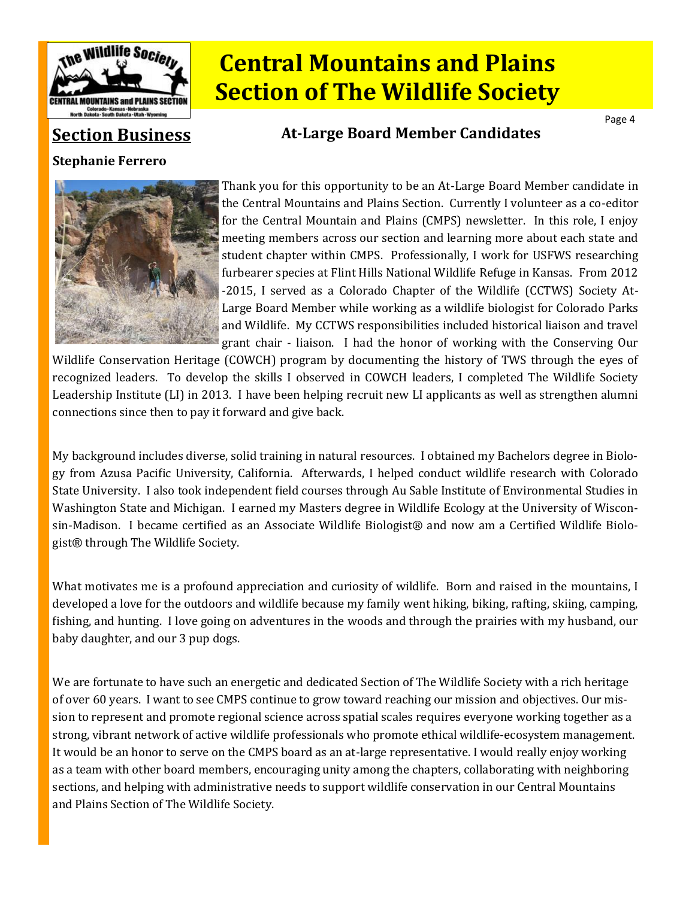

### **Section Business**

#### **Stephanie Ferrero**



#### **At-Large Board Member Candidates**

Thank you for this opportunity to be an At-Large Board Member candidate in the Central Mountains and Plains Section. Currently I volunteer as a co-editor for the Central Mountain and Plains (CMPS) newsletter. In this role, I enjoy meeting members across our section and learning more about each state and student chapter within CMPS. Professionally, I work for USFWS researching furbearer species at Flint Hills National Wildlife Refuge in Kansas. From 2012 -2015, I served as a Colorado Chapter of the Wildlife (CCTWS) Society At-Large Board Member while working as a wildlife biologist for Colorado Parks and Wildlife. My CCTWS responsibilities included historical liaison and travel grant chair - liaison. I had the honor of working with the Conserving Our

Page 4

Wildlife Conservation Heritage (COWCH) program by documenting the history of TWS through the eyes of recognized leaders. To develop the skills I observed in COWCH leaders, I completed The Wildlife Society Leadership Institute (LI) in 2013. I have been helping recruit new LI applicants as well as strengthen alumni connections since then to pay it forward and give back.

My background includes diverse, solid training in natural resources. I obtained my Bachelors degree in Biology from Azusa Pacific University, California. Afterwards, I helped conduct wildlife research with Colorado State University. I also took independent field courses through Au Sable Institute of Environmental Studies in Washington State and Michigan. I earned my Masters degree in Wildlife Ecology at the University of Wisconsin-Madison. I became certified as an Associate Wildlife Biologist® and now am a Certified Wildlife Biologist® through The Wildlife Society.

What motivates me is a profound appreciation and curiosity of wildlife. Born and raised in the mountains, I developed a love for the outdoors and wildlife because my family went hiking, biking, rafting, skiing, camping, fishing, and hunting. I love going on adventures in the woods and through the prairies with my husband, our baby daughter, and our 3 pup dogs.

We are fortunate to have such an energetic and dedicated Section of The Wildlife Society with a rich heritage of over 60 years. I want to see CMPS continue to grow toward reaching our mission and objectives. Our mission to represent and promote regional science across spatial scales requires everyone working together as a strong, vibrant network of active wildlife professionals who promote ethical wildlife-ecosystem management. It would be an honor to serve on the CMPS board as an at-large representative. I would really enjoy working as a team with other board members, encouraging unity among the chapters, collaborating with neighboring sections, and helping with administrative needs to support wildlife conservation in our Central Mountains and Plains Section of The Wildlife Society.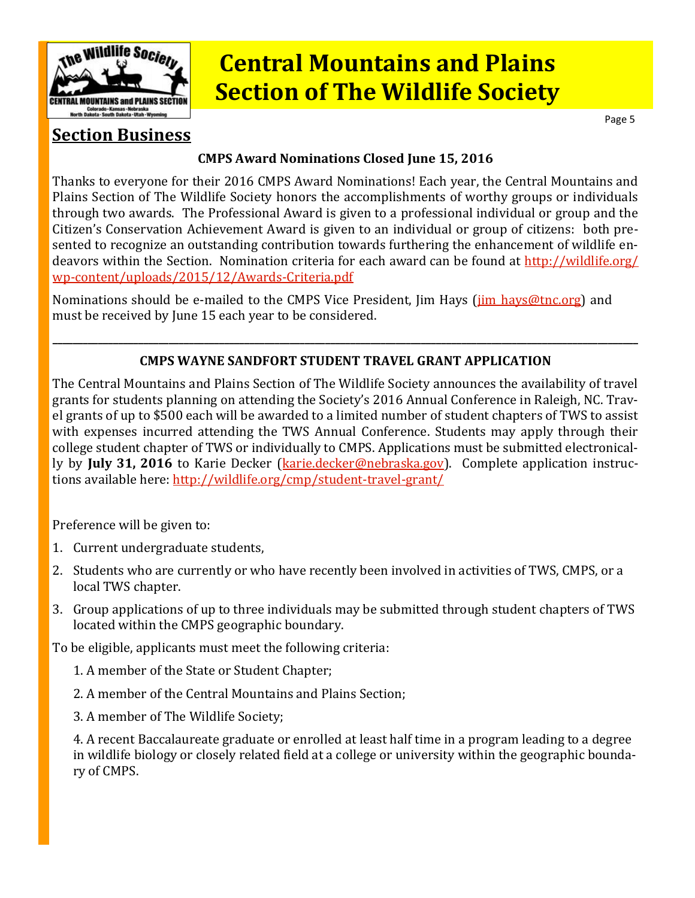<span id="page-4-0"></span>

Page 5

### **Section Business**

#### **CMPS Award Nominations Closed June 15, 2016**

Thanks to everyone for their 2016 CMPS Award Nominations! Each year, the Central Mountains and Plains Section of The Wildlife Society honors the accomplishments of worthy groups or individuals through two awards. The Professional Award is given to a professional individual or group and the Citizen's Conservation Achievement Award is given to an individual or group of citizens: both presented to recognize an outstanding contribution towards furthering the enhancement of wildlife endeavors within the Section. Nomination criteria for each award can be found at [http://wildlife.org/](http://wildlife.org/wp-content/uploads/2015/12/Awards-Criteria.pdf) wp-[content/uploads/2015/12/Awards](http://wildlife.org/wp-content/uploads/2015/12/Awards-Criteria.pdf)-Criteria.pdf

Nominations should be e-mailed to the CMPS Vice President, Jim Hays (*jim hays@tnc.org*) and must be received by June 15 each year to be considered.

### **\_\_\_\_\_\_\_\_\_\_\_\_\_\_\_\_\_\_\_\_\_\_\_\_\_\_\_\_\_\_\_\_\_\_\_\_\_\_\_\_\_\_\_\_\_\_\_\_\_\_\_\_\_\_\_\_\_\_\_\_\_\_\_\_\_\_\_\_\_\_\_\_\_\_\_\_\_\_\_\_\_\_\_\_\_\_\_\_\_\_\_\_\_\_\_\_\_\_\_\_\_\_\_\_\_\_\_\_\_\_\_\_\_\_\_\_ CMPS WAYNE SANDFORT STUDENT TRAVEL GRANT APPLICATION**

The Central Mountains and Plains Section of The Wildlife Society announces the availability of travel grants for students planning on attending the Society's 2016 Annual Conference in Raleigh, NC. Travel grants of up to \$500 each will be awarded to a limited number of student chapters of TWS to assist with expenses incurred attending the TWS Annual Conference. Students may apply through their college student chapter of TWS or individually to CMPS. Applications must be submitted electronically by **July 31, 2016** to Karie Decker ([karie.decker@nebraska.gov\).](mailto:karie.decker@nebraska.gov) Complete application instructions available here: [http://wildlife.org/cmp/student](http://wildlife.org/cmp/student-travel-grant/)-travel-grant/

Preference will be given to:

- 1. Current undergraduate students,
- 2. Students who are currently or who have recently been involved in activities of TWS, CMPS, or a local TWS chapter.
- 3. Group applications of up to three individuals may be submitted through student chapters of TWS located within the CMPS geographic boundary.

To be eligible, applicants must meet the following criteria:

- 1. A member of the State or Student Chapter;
- 2. A member of the Central Mountains and Plains Section;
- 3. A member of The Wildlife Society;

4. A recent Baccalaureate graduate or enrolled at least half time in a program leading to a degree in wildlife biology or closely related field at a college or university within the geographic boundary of CMPS.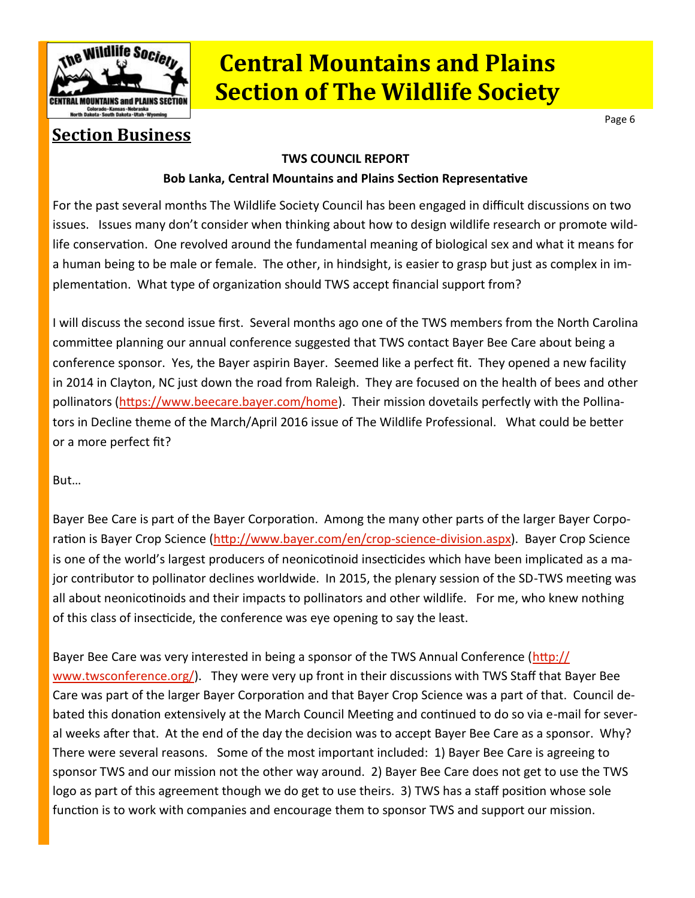<span id="page-5-0"></span>

Page 6

### **Section Business**

#### **TWS COUNCIL REPORT**

#### **Bob Lanka, Central Mountains and Plains Section Representative**

For the past several months The Wildlife Society Council has been engaged in difficult discussions on two issues. Issues many don't consider when thinking about how to design wildlife research or promote wildlife conservation. One revolved around the fundamental meaning of biological sex and what it means for a human being to be male or female. The other, in hindsight, is easier to grasp but just as complex in implementation. What type of organization should TWS accept financial support from?

I will discuss the second issue first. Several months ago one of the TWS members from the North Carolina committee planning our annual conference suggested that TWS contact Bayer Bee Care about being a conference sponsor. Yes, the Bayer aspirin Bayer. Seemed like a perfect fit. They opened a new facility in 2014 in Clayton, NC just down the road from Raleigh. They are focused on the health of bees and other pollinators ([https://www.beecare.bayer.com/home\).](https://www.beecare.bayer.com/home) Their mission dovetails perfectly with the Pollinators in Decline theme of the March/April 2016 issue of The Wildlife Professional. What could be better or a more perfect fit?

But…

Bayer Bee Care is part of the Bayer Corporation. Among the many other parts of the larger Bayer Corpo-ration is Bayer Crop Science [\(http://www.bayer.com/en/crop](http://www.bayer.com/en/crop-science-division.aspx)-science-division.aspx). Bayer Crop Science is one of the world's largest producers of neonicotinoid insecticides which have been implicated as a major contributor to pollinator declines worldwide. In 2015, the plenary session of the SD-TWS meeting was all about neonicotinoids and their impacts to pollinators and other wildlife. For me, who knew nothing of this class of insecticide, the conference was eye opening to say the least.

Bayer Bee Care was very interested in being a sponsor of the TWS Annual Conference ([http://](http://www.twsconference.org/) [www.twsconference.org/\).](http://www.twsconference.org/) They were very up front in their discussions with TWS Staff that Bayer Bee Care was part of the larger Bayer Corporation and that Bayer Crop Science was a part of that. Council debated this donation extensively at the March Council Meeting and continued to do so via e-mail for several weeks after that. At the end of the day the decision was to accept Bayer Bee Care as a sponsor. Why? There were several reasons. Some of the most important included: 1) Bayer Bee Care is agreeing to sponsor TWS and our mission not the other way around. 2) Bayer Bee Care does not get to use the TWS logo as part of this agreement though we do get to use theirs. 3) TWS has a staff position whose sole function is to work with companies and encourage them to sponsor TWS and support our mission.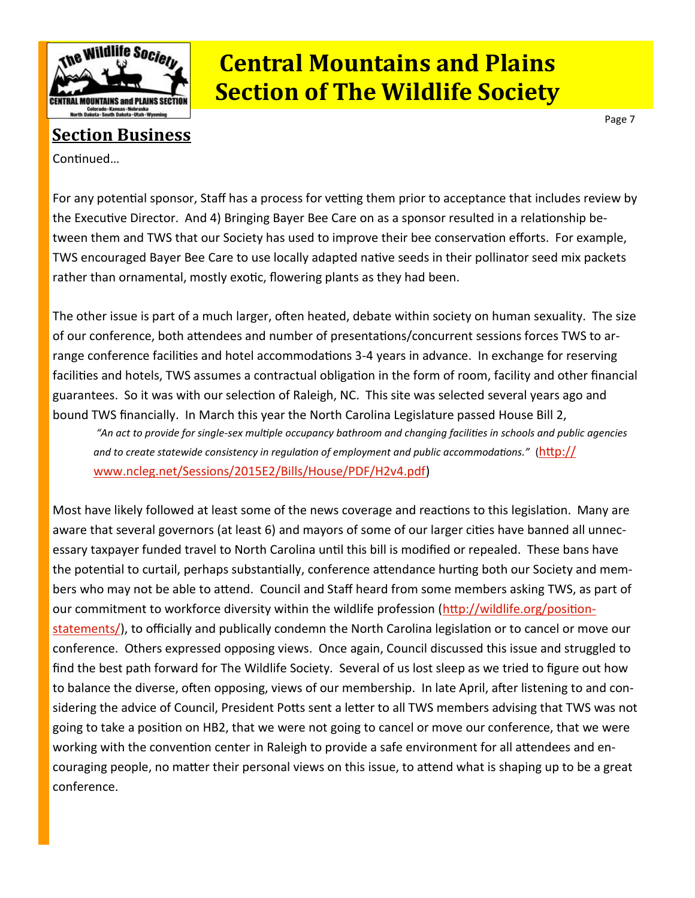

### **Section Business**

Continued…

For any potential sponsor, Staff has a process for vetting them prior to acceptance that includes review by the Executive Director. And 4) Bringing Bayer Bee Care on as a sponsor resulted in a relationship between them and TWS that our Society has used to improve their bee conservation efforts. For example, TWS encouraged Bayer Bee Care to use locally adapted native seeds in their pollinator seed mix packets rather than ornamental, mostly exotic, flowering plants as they had been.

The other issue is part of a much larger, often heated, debate within society on human sexuality. The size of our conference, both attendees and number of presentations/concurrent sessions forces TWS to arrange conference facilities and hotel accommodations 3-4 years in advance. In exchange for reserving facilities and hotels, TWS assumes a contractual obligation in the form of room, facility and other financial guarantees. So it was with our selection of Raleigh, NC. This site was selected several years ago and bound TWS financially. In March this year the North Carolina Legislature passed House Bill 2,

*"An act to provide for single-sex multiple occupancy bathroom and changing facilities in schools and public agencies and to create statewide consistency in regulation of employment and public accommodations."* ([http://](http://www.ncleg.net/Sessions/2015E2/Bills/House/PDF/H2v4.pdf) [www.ncleg.net/Sessions/2015E2/Bills/House/PDF/H2v4.pdf\)](http://www.ncleg.net/Sessions/2015E2/Bills/House/PDF/H2v4.pdf)

Most have likely followed at least some of the news coverage and reactions to this legislation. Many are aware that several governors (at least 6) and mayors of some of our larger cities have banned all unnecessary taxpayer funded travel to North Carolina until this bill is modified or repealed. These bans have the potential to curtail, perhaps substantially, conference attendance hurting both our Society and members who may not be able to attend. Council and Staff heard from some members asking TWS, as part of our commitment to workforce diversity within the wildlife profession ([http://wildlife.org/position](http://wildlife.org/position-statements/)[statements/\),](http://wildlife.org/position-statements/) to officially and publically condemn the North Carolina legislation or to cancel or move our conference. Others expressed opposing views. Once again, Council discussed this issue and struggled to find the best path forward for The Wildlife Society. Several of us lost sleep as we tried to figure out how to balance the diverse, often opposing, views of our membership. In late April, after listening to and considering the advice of Council, President Potts sent a letter to all TWS members advising that TWS was not going to take a position on HB2, that we were not going to cancel or move our conference, that we were working with the convention center in Raleigh to provide a safe environment for all attendees and encouraging people, no matter their personal views on this issue, to attend what is shaping up to be a great conference.

Page 7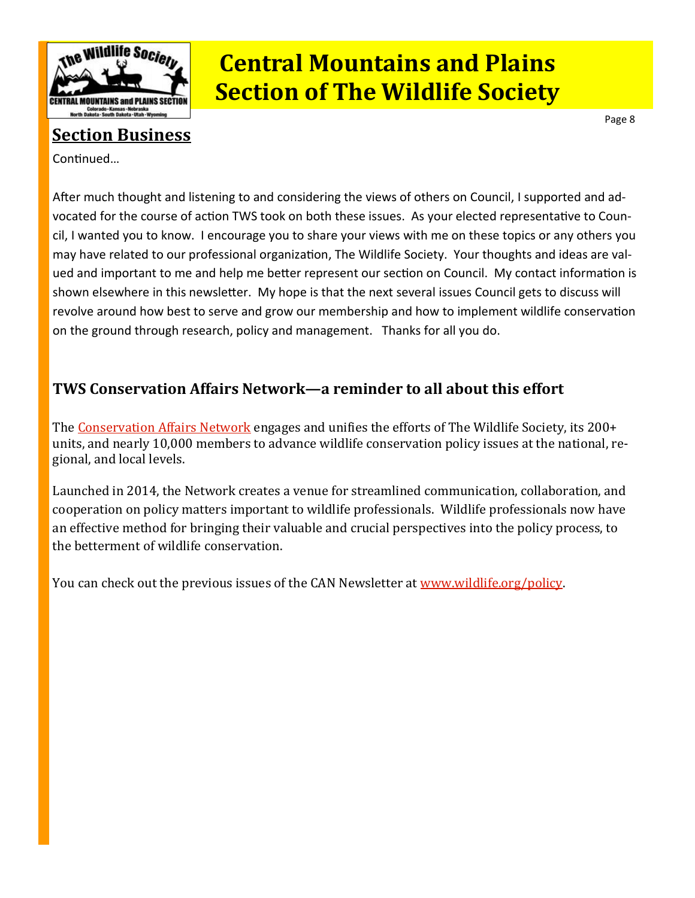<span id="page-7-0"></span>

### **Section Business**

Continued…

After much thought and listening to and considering the views of others on Council, I supported and advocated for the course of action TWS took on both these issues. As your elected representative to Council, I wanted you to know. I encourage you to share your views with me on these topics or any others you may have related to our professional organization, The Wildlife Society. Your thoughts and ideas are valued and important to me and help me better represent our section on Council. My contact information is shown elsewhere in this newsletter. My hope is that the next several issues Council gets to discuss will revolve around how best to serve and grow our membership and how to implement wildlife conservation on the ground through research, policy and management. Thanks for all you do.

### **TWS Conservation Affairs Network—a reminder to all about this effort**

The [Conservation Affairs Network](http://wildlife.org/wp-content/uploads/2015/02/TWS_CAN_Overview.pdf) engages and unifies the efforts of The Wildlife Society, its 200+ units, and nearly 10,000 members to advance wildlife conservation policy issues at the national, regional, and local levels.

Launched in 2014, the Network creates a venue for streamlined communication, collaboration, and cooperation on policy matters important to wildlife professionals. Wildlife professionals now have an effective method for bringing their valuable and crucial perspectives into the policy process, to the betterment of wildlife conservation.

You can check out the previous issues of the CAN Newsletter at [www.wildlife.org/policy.](http://www.wildlife.org/policy)

Page 8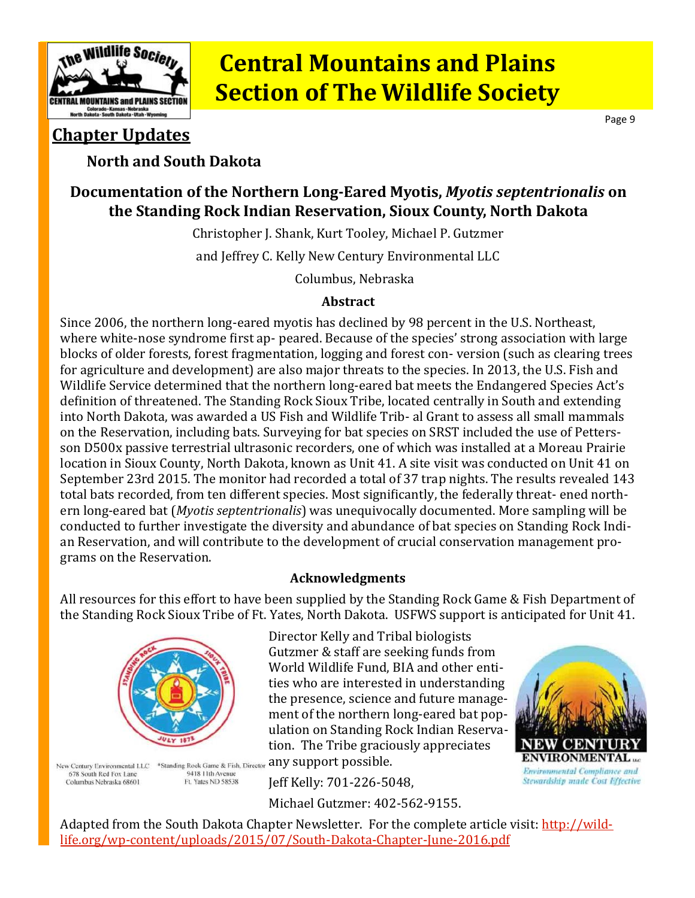<span id="page-8-0"></span>

Page 9

### **Chapter Updates**

#### **North and South Dakota**

### **Documentation of the Northern Long-Eared Myotis,** *Myotis septentrionalis* **on the Standing Rock Indian Reservation, Sioux County, North Dakota**

Christopher J. Shank, Kurt Tooley, Michael P. Gutzmer and Jeffrey C. Kelly New Century Environmental LLC

Columbus, Nebraska

#### **Abstract**

Since 2006, the northern long-eared myotis has declined by 98 percent in the U.S. Northeast, where white-nose syndrome first ap- peared. Because of the species' strong association with large blocks of older forests, forest fragmentation, logging and forest con- version (such as clearing trees for agriculture and development) are also major threats to the species. In 2013, the U.S. Fish and Wildlife Service determined that the northern long-eared bat meets the Endangered Species Act's definition of threatened. The Standing Rock Sioux Tribe, located centrally in South and extending into North Dakota, was awarded a US Fish and Wildlife Trib- al Grant to assess all small mammals on the Reservation, including bats. Surveying for bat species on SRST included the use of Pettersson D500x passive terrestrial ultrasonic recorders, one of which was installed at a Moreau Prairie location in Sioux County, North Dakota, known as Unit 41. A site visit was conducted on Unit 41 on September 23rd 2015. The monitor had recorded a total of 37 trap nights. The results revealed 143 total bats recorded, from ten different species. Most significantly, the federally threat- ened northern long-eared bat (*Myotis septentrionalis*) was unequivocally documented. More sampling will be conducted to further investigate the diversity and abundance of bat species on Standing Rock Indian Reservation, and will contribute to the development of crucial conservation management programs on the Reservation.

#### **Acknowledgments**

All resources for this effort to have been supplied by the Standing Rock Game & Fish Department of the Standing Rock Sioux Tribe of Ft. Yates, North Dakota. USFWS support is anticipated for Unit 41.



New Century Environmental LLC \*Standing Rock Game & Fish, Director 678 South Red Fox Lane 9418 11th Avenue Columbus Nebraska 68601 Ft. Yates ND 58538

Director Kelly and Tribal biologists Gutzmer & staff are seeking funds from World Wildlife Fund, BIA and other entities who are interested in understanding the presence, science and future management of the northern long-eared bat population on Standing Rock Indian Reservation. The Tribe graciously appreciates any support possible.



Michael Gutzmer: 402-562-9155.



Adapted from the South Dakota Chapter Newsletter. For the complete article visit: [http://wild](http://wildlife.org/wp-content/uploads/2015/07/South-Dakota-Chapter-June-2016.pdf)life.org/wp-[content/uploads/2015/07/South](http://wildlife.org/wp-content/uploads/2015/07/South-Dakota-Chapter-June-2016.pdf)-Dakota-Chapter-June-2016.pdf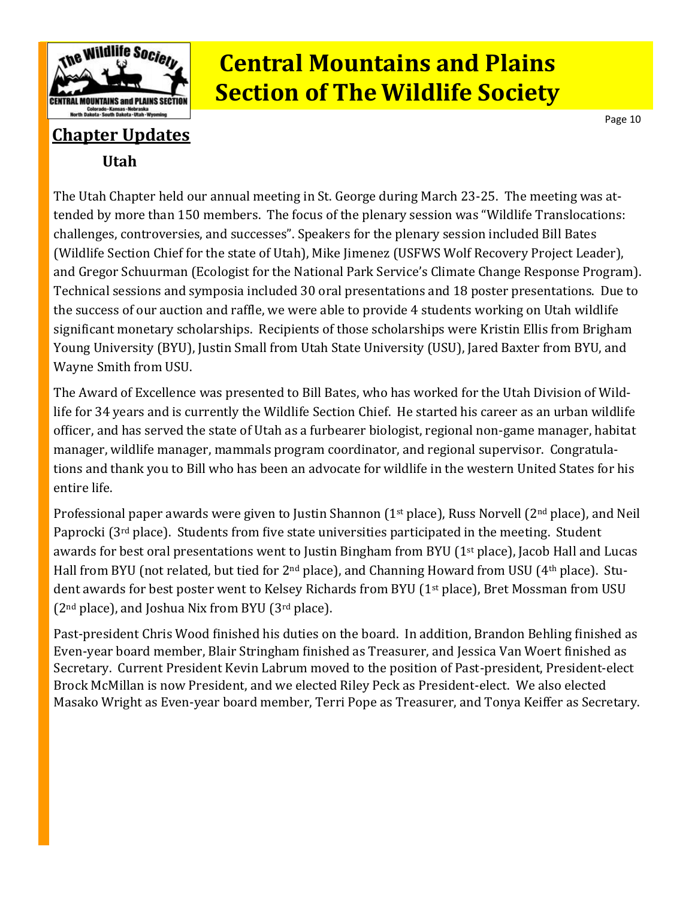

Page 10

### **Utah Chapter Updates**

The Utah Chapter held our annual meeting in St. George during March 23-25. The meeting was attended by more than 150 members. The focus of the plenary session was "Wildlife Translocations: challenges, controversies, and successes". Speakers for the plenary session included Bill Bates (Wildlife Section Chief for the state of Utah), Mike Jimenez (USFWS Wolf Recovery Project Leader), and Gregor Schuurman (Ecologist for the National Park Service's Climate Change Response Program). Technical sessions and symposia included 30 oral presentations and 18 poster presentations. Due to the success of our auction and raffle, we were able to provide 4 students working on Utah wildlife significant monetary scholarships. Recipients of those scholarships were Kristin Ellis from Brigham Young University (BYU), Justin Small from Utah State University (USU), Jared Baxter from BYU, and Wayne Smith from USU.

The Award of Excellence was presented to Bill Bates, who has worked for the Utah Division of Wildlife for 34 years and is currently the Wildlife Section Chief. He started his career as an urban wildlife officer, and has served the state of Utah as a furbearer biologist, regional non-game manager, habitat manager, wildlife manager, mammals program coordinator, and regional supervisor. Congratulations and thank you to Bill who has been an advocate for wildlife in the western United States for his entire life.

Professional paper awards were given to Justin Shannon (1st place), Russ Norvell (2nd place), and Neil Paprocki (3rd place). Students from five state universities participated in the meeting. Student awards for best oral presentations went to Justin Bingham from BYU (1<sup>st</sup> place), Jacob Hall and Lucas Hall from BYU (not related, but tied for 2nd place), and Channing Howard from USU (4th place). Student awards for best poster went to Kelsey Richards from BYU (1<sup>st</sup> place), Bret Mossman from USU  $(2<sup>nd</sup> place)$ , and Joshua Nix from BYU  $(3<sup>rd</sup> place)$ .

Past-president Chris Wood finished his duties on the board. In addition, Brandon Behling finished as Even-year board member, Blair Stringham finished as Treasurer, and Jessica Van Woert finished as Secretary. Current President Kevin Labrum moved to the position of Past-president, President-elect Brock McMillan is now President, and we elected Riley Peck as President-elect. We also elected Masako Wright as Even-year board member, Terri Pope as Treasurer, and Tonya Keiffer as Secretary.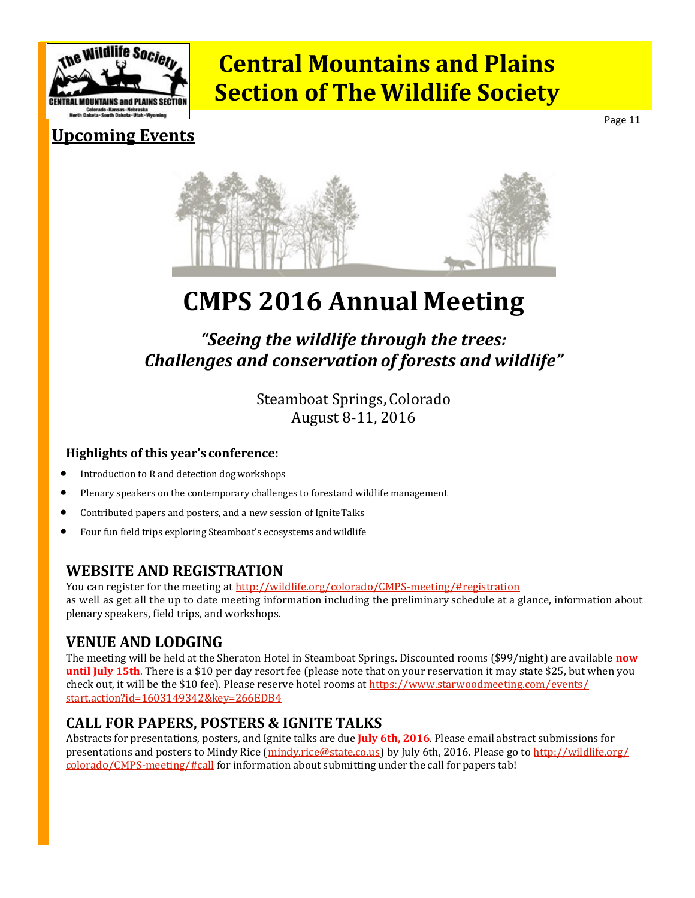<span id="page-10-0"></span>

Page 11

### **Upcoming Events**



# **CMPS 2016 Annual Meeting**

### *"Seeing the wildlife through the trees: Challenges and conservation of forests and wildlife"*

Steamboat Springs, Colorado August 8-11, 2016

#### **Highlights of this year's conference:**

- Introduction to R and detection dogworkshops
- Plenary speakers on the contemporary challenges to forestand wildlife management
- Contributed papers and posters, and a new session of IgniteTalks
- Four fun field trips exploring Steamboat's ecosystems andwildlife

#### **WEBSITE AND REGISTRATION**

You can register for the meeting at [http://wildlife.org/colorado/CMPS](http://wildlife.org/colorado/CMPS-meeting/#registration)-meeting/#registration as well as get all the up to date meeting information including the preliminary schedule at a glance, information about plenary speakers, field trips, and workshops.

### **VENUE AND LODGING**

The meeting will be held at the Sheraton Hotel in Steamboat Springs. Discounted rooms (\$99/night) are available **now until July 15th**. There is a \$10 per day resort fee (please note that on your reservation it may state \$25, but when you check out, it will be the \$10 fee). Please reserve hotel rooms at [https://www.starwoodmeeting.com/events/](https://www.starwoodmeeting.com/events/start.action?id=1603149342&key=266EDB4) [start.action?id=1603149342&key=266EDB4](https://www.starwoodmeeting.com/events/start.action?id=1603149342&key=266EDB4)

#### **CALL FOR PAPERS, POSTERS & IGNITE TALKS**

Abstracts for presentations, posters, and Ignite talks are due **July 6th, 2016**. Please email abstract submissions for presentations and posters to Mindy Rice ([mindy.rice@state.co.us\)](mailto:mindy.rice@state.co.us) by July 6th, 2016. Please go to [http://wildlife.org/](http://wildlife.org/colorado/CMPS-meeting/#call) [colorado/CMPS](http://wildlife.org/colorado/CMPS-meeting/#call)-meeting/#call for information about submitting under the call for papers tab!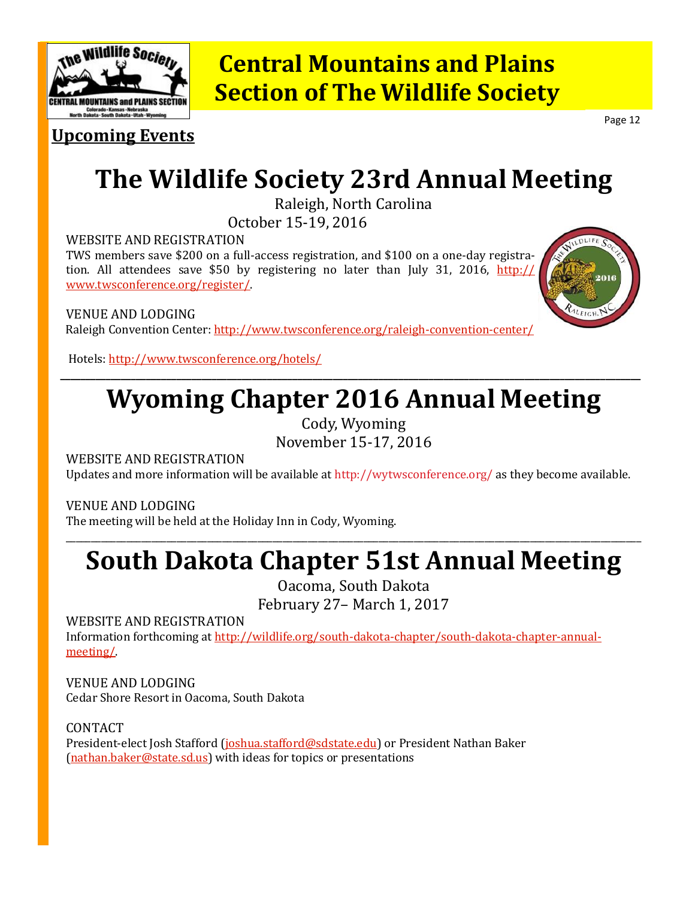

**Upcoming Events**

Page 12

# **The Wildlife Society 23rd Annual Meeting**

Raleigh, North Carolina

October 15-19, 2016

WEBSITE AND REGISTRATION

TWS members save \$200 on a full-access registration, and \$100 on a one-day registration. All attendees save \$50 by registering no later than July 31, 2016, [http://](http://www.twsconference.org/register/) [www.twsconference.org/register/.](http://www.twsconference.org/register/)

VENUE AND LODGING Raleigh Convention Center: [http://www.twsconference.org/raleigh](http://www.twsconference.org/raleigh-convention-center/)-convention-center/

Hotels:<http://www.twsconference.org/hotels/>

# **Wyoming Chapter 2016 Annual Meeting**

**\_\_\_\_\_\_\_\_\_\_\_\_\_\_\_\_\_\_\_\_\_\_\_\_\_\_\_\_\_\_\_\_\_\_\_\_\_\_\_\_\_\_\_\_\_\_\_\_\_\_\_\_\_\_\_\_\_\_\_\_\_\_\_\_\_\_\_\_\_\_\_\_\_\_\_\_\_\_\_\_\_\_\_\_\_\_\_\_\_\_\_\_\_\_\_\_\_\_\_\_\_\_\_\_\_\_\_\_\_\_\_\_\_\_\_**

Cody, Wyoming November 15-17, 2016

WEBSITE AND REGISTRATION

Updates and more information will be available at http://wytwsconference.org/ as they become available.

VENUE AND LODGING

The meeting will be held at the Holiday Inn in Cody, Wyoming.

# **South Dakota Chapter 51st Annual Meeting**

\_\_\_\_\_\_\_\_\_\_\_\_\_\_\_\_\_\_\_\_\_\_\_\_\_\_\_\_\_\_\_\_\_\_\_\_\_\_\_\_\_\_\_\_\_\_\_\_\_\_\_\_\_\_\_\_\_\_\_\_\_\_\_\_\_\_\_\_\_\_\_\_\_\_\_\_\_\_\_\_\_\_\_\_\_\_\_\_\_\_\_\_\_\_\_\_\_\_\_\_\_\_\_\_\_\_\_\_\_\_\_\_\_\_

Oacoma, South Dakota February 27– March 1, 2017

WEBSITE AND REGISTRATION

Information forthcoming at [http://wildlife.org/south](http://wildlife.org/south-dakota-chapter/south-dakota-chapter-annual-meeting/)-dakota-chapter/south-dakota-chapter-annual[meeting/.](http://wildlife.org/south-dakota-chapter/south-dakota-chapter-annual-meeting/)

VENUE AND LODGING Cedar Shore Resort in Oacoma, South Dakota

CONTACT

President-elect Josh Stafford ([joshua.stafford@sdstate.edu\)](mailto:joshua.stafford@sdstate.edu) or President Nathan Baker [\(nathan.baker@state.sd.us\)](mailto:nathan.baker@state.sd.us) with ideas for topics or presentations